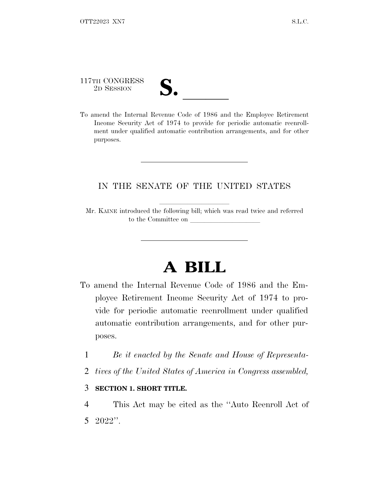| 117th CONGRESS<br>2D SESSION                                           | IJ. |  |  |  |  |
|------------------------------------------------------------------------|-----|--|--|--|--|
| To amend the Internal Revenue Code of 1986 and the Employee Retirement |     |  |  |  |  |

Income Security Act of 1974 to provide for periodic automatic reenrollment under qualified automatic contribution arrangements, and for other purposes.

## IN THE SENATE OF THE UNITED STATES

Mr. KAINE introduced the following bill; which was read twice and referred to the Committee on

## **A BILL**

- To amend the Internal Revenue Code of 1986 and the Employee Retirement Income Security Act of 1974 to provide for periodic automatic reenrollment under qualified automatic contribution arrangements, and for other purposes.
	- 1 *Be it enacted by the Senate and House of Representa-*
	- 2 *tives of the United States of America in Congress assembled,*

## 3 **SECTION 1. SHORT TITLE.**

4 This Act may be cited as the ''Auto Reenroll Act of 5 2022''.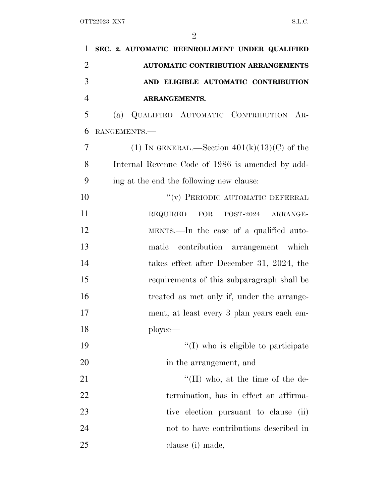| $\mathbf{1}$   | SEC. 2. AUTOMATIC REENROLLMENT UNDER QUALIFIED     |
|----------------|----------------------------------------------------|
| $\overline{2}$ | <b>AUTOMATIC CONTRIBUTION ARRANGEMENTS</b>         |
| 3              | AND ELIGIBLE AUTOMATIC CONTRIBUTION                |
| $\overline{4}$ | <b>ARRANGEMENTS.</b>                               |
| 5              | (a) QUALIFIED AUTOMATIC CONTRIBUTION AR-           |
| 6              | RANGEMENTS.-                                       |
| 7              | (1) IN GENERAL.—Section $401(k)(13)(C)$ of the     |
| 8              | Internal Revenue Code of 1986 is amended by add-   |
| 9              | ing at the end the following new clause:           |
| 10             | "(v) PERIODIC AUTOMATIC DEFERRAL                   |
| 11             | <b>REQUIRED</b><br>$\rm FOR$<br>POST-2024 ARRANGE- |
| 12             | MENTS.—In the case of a qualified auto-            |
| 13             | contribution arrangement which<br>matic            |
| 14             | takes effect after December 31, 2024, the          |
| 15             | requirements of this subparagraph shall be         |
| 16             | treated as met only if, under the arrange-         |
| 17             | ment, at least every 3 plan years each em-         |
| 18             | ployee—                                            |
| 19             | "(I) who is eligible to participate                |
| 20             | in the arrangement, and                            |
| 21             | $\lq\lq$ (II) who, at the time of the de-          |
| 22             | termination, has in effect an affirma-             |
| 23             | tive election pursuant to clause<br>(ii)           |
| 24             | not to have contributions described in             |
| 25             | clause (i) made,                                   |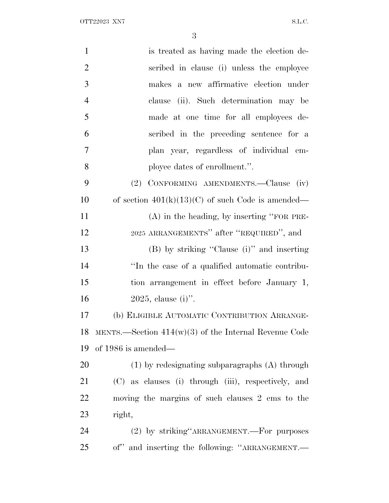OTT XN7 S.L.C.

| $\mathbf{1}$   | is treated as having made the election de-                    |
|----------------|---------------------------------------------------------------|
| $\overline{2}$ | scribed in clause (i) unless the employee                     |
| 3              | makes a new affirmative election under                        |
| $\overline{4}$ | clause (ii). Such determination may be                        |
| 5              | made at one time for all employees de-                        |
| 6              | scribed in the preceding sentence for a                       |
| 7              | plan year, regardless of individual em-                       |
| 8              | ployee dates of enrollment.".                                 |
| 9              | (2) CONFORMING AMENDMENTS.—Clause (iv)                        |
| 10             | of section $401(k)(13)(C)$ of such Code is amended—           |
| 11             | $(A)$ in the heading, by inserting "FOR PRE-                  |
| 12             | 2025 ARRANGEMENTS" after "REQUIRED", and                      |
| 13             | (B) by striking "Clause (i)" and inserting                    |
| 14             | "In the case of a qualified automatic contribu-               |
| 15             | tion arrangement in effect before January 1,                  |
| 16             | $2025$ , clause (i)".                                         |
| 17             | (b) ELIGIBLE AUTOMATIC CONTRIBUTION ARRANGE-                  |
| 18             | MENTS.—Section $414(w)(3)$ of the Internal Revenue Code       |
| 19             | of 1986 is amended—                                           |
| 20             | $(1)$ by redesignating subparagraphs $(A)$ through            |
| 21             | (C) as clauses (i) through (iii), respectively, and           |
| 22             | moving the margins of such clauses 2 ems to the               |
| 23             | right,                                                        |
| 24             | (2) by striking ARRANGEMENT. For purposes                     |
| 25             | and inserting the following: "ARRANGEMENT.—<br>$\mathrm{of}"$ |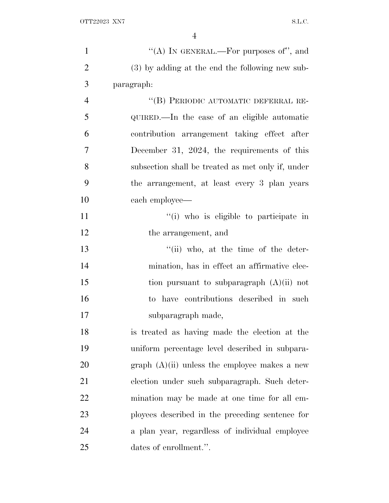| $\mathbf{1}$   | "(A) IN GENERAL.—For purposes of", and            |
|----------------|---------------------------------------------------|
| $\overline{2}$ | (3) by adding at the end the following new sub-   |
| 3              | paragraph:                                        |
| $\overline{4}$ | "(B) PERIODIC AUTOMATIC DEFERRAL RE-              |
| 5              | QUIRED.—In the case of an eligible automatic      |
| 6              | contribution arrangement taking effect after      |
| 7              | December 31, 2024, the requirements of this       |
| 8              | subsection shall be treated as met only if, under |
| 9              | the arrangement, at least every 3 plan years      |
| 10             | each employee—                                    |
| 11             | "(i) who is eligible to participate in            |
| 12             | the arrangement, and                              |
| 13             | $``(ii)$ who, at the time of the deter-           |
| 14             | mination, has in effect an affirmative elec-      |
| 15             | tion pursuant to subparagraph $(A)(ii)$ not       |
| 16             | to have contributions described in such           |
| 17             | subparagraph made,                                |
| 18             | is treated as having made the election at the     |
| 19             | uniform percentage level described in subpara-    |
| 20             | graph $(A)(ii)$ unless the employee makes a new   |
| 21             | election under such subparagraph. Such deter-     |
| 22             | mination may be made at one time for all em-      |
| 23             | ployees described in the preceding sentence for   |
| 24             | a plan year, regardless of individual employee    |
| 25             | dates of enrollment.".                            |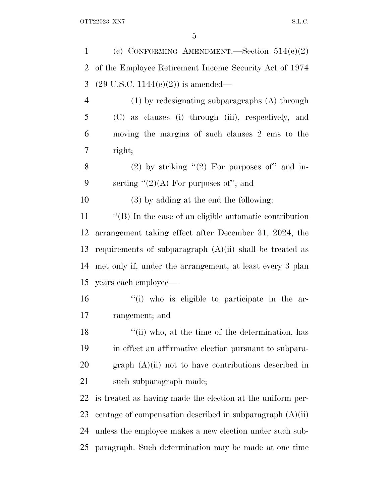| 1  | (c) CONFORMING AMENDMENT.—Section $514(e)(2)$                |
|----|--------------------------------------------------------------|
| 2  | of the Employee Retirement Income Security Act of 1974       |
| 3  | $(29 \text{ U.S.C. } 1144(e)(2))$ is amended—                |
| 4  | $(1)$ by redesignating subparagraphs $(A)$ through           |
| 5  | (C) as clauses (i) through (iii), respectively, and          |
| 6  | moving the margins of such clauses 2 ems to the              |
| 7  | right;                                                       |
| 8  | (2) by striking $(2)$ For purposes of" and in-               |
| 9  | serting " $(2)(A)$ For purposes of"; and                     |
| 10 | $(3)$ by adding at the end the following:                    |
| 11 | $\lq\lq$ . In the case of an eligible automatic contribution |
| 12 | arrangement taking effect after December 31, 2024, the       |
| 13 | requirements of subparagraph $(A)(ii)$ shall be treated as   |
| 14 | met only if, under the arrangement, at least every 3 plan    |
| 15 | years each employee—                                         |
| 16 | "(i) who is eligible to participate in the ar-               |
| 17 | rangement; and                                               |
| 18 | "(ii) who, at the time of the determination, has             |
| 19 | in effect an affirmative election pursuant to subpara-       |
| 20 | graph $(A)(ii)$ not to have contributions described in       |
| 21 | such subparagraph made;                                      |
| 22 | is treated as having made the election at the uniform per-   |
| 23 | centage of compensation described in subparagraph $(A)(ii)$  |
| 24 | unless the employee makes a new election under such sub-     |
| 25 | paragraph. Such determination may be made at one time        |